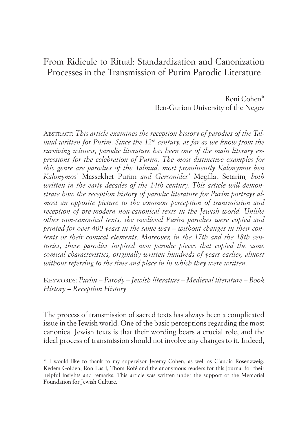# icule to Ritual: Standardization and Car<br>s in the Transmission of Purim Parodic I<br> From Ridicule to Ritual: Standardization and Canonization Processes in the Transmission of Purim Parodic Literature

Ben-Gurion University of the Negev Roni Cohen\*

dievali *mud written for Purim. Since the 12th century, as far as we know from the* ABSTRACT: *This article examines the reception history of parodies of the Talsurviving witness, parodic literature has been one of the main literary expressions for the celebration of Purim. The most distinctive examples for this genre are parodies of the Talmud, most prominently Kalonymos ben Kalonymos'* Massekhet Purim *and Gersonides'* Megillat Setarim*, both written in the early decades of the 14th century. This article will demonstrate how the reception history of parodic literature for Purim portrays almost an opposite picture to the common perception of transmission and reception of pre-modern non-canonical texts in the Jewish world. Unlike other non-canonical texts, the medieval Purim parodies were copied and printed for over 400 years in the same way – without changes in their contents or their comical elements. Moreover, in the 17th and the 18th centuries, these parodies inspired new parodic pieces that copied the same comical characteristics, originally written hundreds of years earlier, almost without referring to the time and place in in which they were written.*

KEYWORDS: *Purim – Parody – Jewish literature – Medieval literature – Book History – Reception History*

The process of transmission of sacred texts has always been a complicated issue in the Jewish world. One of the basic perceptions regarding the most canonical Jewish texts is that their wording bears a crucial role, and the ideal process of transmission should not involve any changes to it. Indeed,

<sup>\*</sup> I would like to thank to my supervisor Jeremy Cohen, as well as Claudia Rosenzweig, Kedem Golden, Ron Lasri, Thom Rofé and the anonymous readers for this journal for their helpful insights and remarks. This article was written under the support of the Memorial Foundation for Jewish Culture.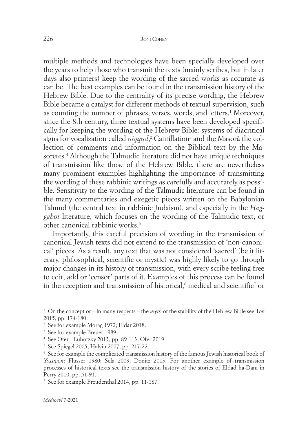multiple methods and technologies have been specially developed over the years to help those who transmit the texts (mainly scribes, but in later days also printers) keep the wording of the sacred works as accurate as can be. The best examples can be found in the transmission history of the Hebrew Bible. Due to the centrality of its precise wording, the Hebrew Bible became a catalyst for different methods of textual supervision, such as counting the number of phrases, verses, words, and letters. <sup>1</sup> Moreover, since the 8th century, three textual systems have been developed specifically for keeping the wording of the Hebrew Bible: systems of diacritical signs for vocalization called *niqqud*,<sup>2</sup> Cantillation<sup>3</sup> and the Masorā the collection of comments and information on the Biblical text by the Masoretes. <sup>4</sup> Although the Talmudic literature did not have unique techniques of transmission like those of the Hebrew Bible, there are nevertheless many prominent examples highlighting the importance of transmitting the wording of these rabbinic writings as carefully and accurately as possible. Sensitivity to the wording of the Talmudic literature can be found in the many commentaries and exegetic pieces written on the Babylonian Talmud (the central text in rabbinic Judaism), and especially in the *Haggahot* literature, which focuses on the wording of the Talmudic text, or other canonical rabbinic works. 5

Importantly, this careful precision of wording in the transmission of canonical Jewish texts did not extend to the transmission of 'non-canonical' pieces. As a result, any text that was not considered 'sacred' (be it literary, philosophical, scientific or mystic) was highly likely to go through major changes in its history of transmission, with every scribe feeling free to edit, add or 'censor' parts of it. Examples of this process can be found in the reception and transmission of historical, $^{\rm 6}$  medical and scientific $^{\rm 7}$  or

<sup>&</sup>lt;sup>1</sup> On the concept or – in many respects – the *myth* of the stability of the Hebrew Bible see Tov 2015, pp. 174-180.

<sup>2</sup> See for example Morag 1972; Eldar 2018.

<sup>&</sup>lt;sup>3</sup> See for example Breuer 1989.

<sup>4</sup> See Ofer - Lubotzky 2013, pp. 89-113; Ofer 2019.

<sup>5</sup> See Spiegel 2005; Halvin 2007, pp. 217-221.

<sup>6</sup> See for example the complicated transmission history of the famous Jewish historical book of *Yossipon*: Flusser 1980; Sela 2009; Dönitz 2013. For another example of transmission processes of historical texts see the transmission history of the stories of Eldad ha-Dani in Perry 2010, pp. 51-91.

<sup>7</sup> See for example Freudenthal 2014, pp. 11-187.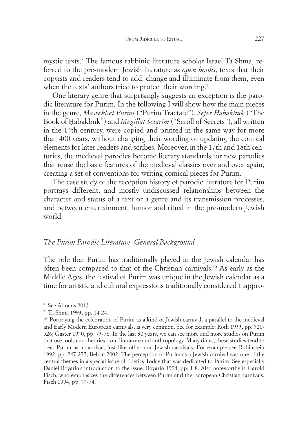mystic texts. <sup>8</sup> The famous rabbinic literature scholar Israel Ta-Shma, referred to the pre-modern Jewish literature as *open books*, texts that their copyists and readers tend to add, change and illuminate from them, even when the texts' authors tried to protect their wording.<sup>9</sup>

One literary genre that surprisingly suggests an exception is the parodic literature for Purim. In the following I will show how the main pieces in the genre, *Massekhet Purim* ("Purim Tractate"), *Sefer Ḥabakbuk* ("The Book of Ḥabakbuk") and *Megillat Setarim* ("Scroll of Secrets"), all written in the 14th century, were copied and printed in the same way for more than 400 years, without changing their wording or updating the comical elements for later readers and scribes. Moreover, in the 17th and 18th centuries, the medieval parodies become literary standards for new parodies that reuse the basic features of the medieval classics over and over again, creating a set of conventions for writing comical pieces for Purim.

The case study of the reception history of parodic literature for Purim portrays different, and mostly undiscussed relationships between the character and status of a text or a genre and its transmission processes, and between entertainment, humor and ritual in the pre-modern Jewish world.

## *The Purim Parodic Literature: General Background*

The role that Purim has traditionally played in the Jewish calendar has often been compared to that of the Christian carnivals. <sup>10</sup> As early as the Middle Ages, the festival of Purim was unique in the Jewish calendar as a time for artistic and cultural expressions traditionally considered inappro-

<sup>9</sup> Ta-Shma 1993, pp. 14-24.

<sup>8</sup> See Abrams 2013.

<sup>&</sup>lt;sup>10</sup> Portraying the celebration of Purim as a kind of Jewish carnival, a parallel to the medieval and Early Modern European carnivals, is very common. See for example: Roth 1933, pp. 520- 526; Gaster 1950, pp. 73-78. In the last 30 years, we can see more and more studies on Purim that use tools and theories from literature and anthropology. Many times, these studies tend to treat Purim as a carnival, just like other non-Jewish carnivals. For example see Rubinstein 1992, pp. 247-277; Belkin 2002. The perception of Purim as a Jewish carnival was one of the central themes in a special issue of Poetics Today that was dedicated to Purim. See especially Daniel Boyarin's introduction to the issue: Boyarin 1994, pp. 1-8. Also noteworthy is Harold Fisch, who emphasizes the differences between Purim and the European Christian carnivals: Fisch 1994, pp. 55-74.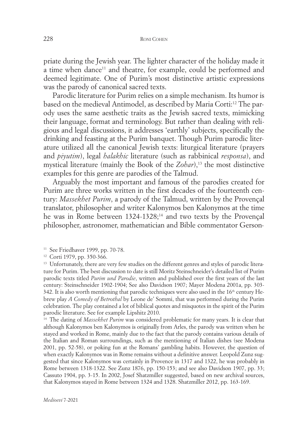priate during the Jewish year. The lighter character of the holiday made it a time when dance<sup>11</sup> and theatre, for example, could be performed and deemed legitimate. One of Purim's most distinctive artistic expressions was the parody of canonical sacred texts.

Parodic literature for Purim relies on a simple mechanism. Its humor is based on the medieval Antimodel, as described by Maria Corti: <sup>12</sup> The parody uses the same aesthetic traits as the Jewish sacred texts, mimicking their language, format and terminology. But rather than dealing with religious and legal discussions, it addresses 'earthly' subjects, specifically the drinking and feasting at the Purim banquet. Though Purim parodic literature utilized all the canonical Jewish texts: liturgical literature (prayers and *piyutim*), legal *halakhic* literature (such as rabbinical *responsa*), and mystical literature (mainly the Book of the *Zohar*), <sup>13</sup> the most distinctive examples for this genre are parodies of the Talmud.

Arguably the most important and famous of the parodies created for Purim are three works written in the first decades of the fourteenth century: *Massekhet Purim*, a parody of the Talmud, written by the Provençal translator, philosopher and writer Kalonymos ben Kalonymos at the time he was in Rome between 1324-1328; <sup>14</sup> and two texts by the Provençal philosopher, astronomer, mathematician and Bible commentator Gerson-

<sup>11</sup> See Friedhaver 1999, pp. 70-78.

<sup>12</sup> Corti 1979, pp. 350-366.

<sup>13</sup> Unfortunately, there are very few studies on the different genres and styles of parodic literature for Purim. The best discussion to date is still Moritz Steinschneider's detailed list of Purim parodic texts titled *Purim und Parodie*, written and published over the first years of the last century: Steinschneider 1902-1904; See also Davidson 1907; Mayer Modena 2001a, pp. 303-  $342$ . It is also worth mentioning that parodic techniques were also used in the  $16<sup>th</sup>$  century Hebrew play *A Comedy of Betrothal* by Leone de' Sommi, that was performed during the Purim celebration. The play contained a lot of biblical quotes and misquotes in the spirit of the Purim parodic literature. See for example Lipshitz 2010.

<sup>14</sup> The dating of *Massekhet Purim* was considered problematic for many years. It is clear that although Kalonymos ben Kalonymos is originally from Arles, the parody was written when he stayed and worked in Rome, mainly due to the fact that the parody contains various details of the Italian and Roman surroundings, such as the mentioning of Italian dishes (see Modena 2001, pp. 52-58), or poking fun at the Romans' gambling habits. However, the question of when exactly Kalonymos was in Rome remains without a definitive answer. Leopold Zunz suggested that since Kalonymos was certainly in Provence in 1317 and 1322, he was probably in Rome between 1318-1322. See Zunz 1876, pp. 150-153; and see also Davidson 1907, pp. 33; Cassuto 1904, pp. 3-15. In 2002, Josef Shatzmiller suggested, based on new archival sources, that Kalonymos stayed in Rome between 1324 and 1328. Shatzmiller 2012, pp. 163-169.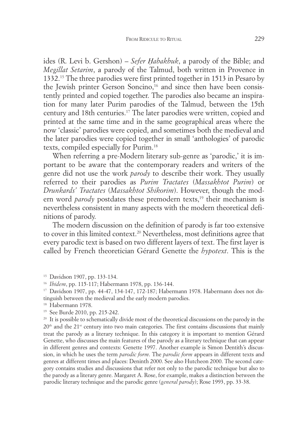ides (R. Levi b. Gershon) – *Sefer Ḥabakbuk*, a parody of the Bible; and *Megillat Setarim*, a parody of the Talmud, both written in Provence in 1332. <sup>15</sup> The three parodies were first printed together in 1513 in Pesaro by the Jewish printer Gerson Soncino, <sup>16</sup> and since then have been consistently printed and copied together. The parodies also became an inspiration for many later Purim parodies of the Talmud, between the 15th century and 18th centuries. <sup>17</sup> The later parodies were written, copied and printed at the same time and in the same geographical areas where the now 'classic' parodies were copied, and sometimes both the medieval and the later parodies were copied together in small 'anthologies' of parodic texts, compiled especially for Purim. 18

When referring a pre-Modern literary sub-genre as 'parodic,' it is important to be aware that the contemporary readers and writers of the genre did not use the work *parody* to describe their work. They usually referred to their parodies as *Purim Tractates* (*Massakhtot Purim*) or *Drunkards' Tractates* (*Massakhtot Shikorim*). However, though the modern word *parody* postdates these premodern texts, <sup>19</sup> their mechanism is nevertheless consistent in many aspects with the modern theoretical definitions of parody.

The modern discussion on the definition of parody is far too extensive to cover in this limited context. <sup>20</sup> Nevertheless, most definitions agree that every parodic text is based on two different layers of text. The first layer is called by French theoretician Gérard Genette the *hypotext*. This is the

<sup>15</sup> Davidson 1907, pp. 133-134.

<sup>18</sup> Habermann 1978.

<sup>16</sup> *Ibidem*, pp. 115-117; Habermann 1978, pp. 136-144.

<sup>17</sup> Davidson 1907, pp. 44-47, 134-147, 172-187; Habermann 1978. Habermann does not distinguish between the medieval and the early modern parodies.

<sup>19</sup> See Burde 2010, pp. 215-242.

<sup>&</sup>lt;sup>20</sup> It is possible to schematically divide most of the theoretical discussions on the parody in the  $20<sup>th</sup>$  and the  $21<sup>st</sup>$  century into two main categories. The first contains discussions that mainly treat the parody as a literary technique. In this category it is important to mention Gérard Genette, who discusses the main features of the parody as a literary technique that can appear in different genres and contexts: Genette 1997. Another example is Simon Dentith's discussion, in which he uses the term *parodic form*. The *parodic form* appears in different texts and genres at different times and places: Deninth 2000. See also Hutcheon 2000. The second category contains studies and discussions that refer not only to the parodic technique but also to the parody as a literary genre. Margaret A. Rose, for example, makes a distinction between the parodic literary technique and the parodic genre (*general parody*); Rose 1993, pp. 33-38.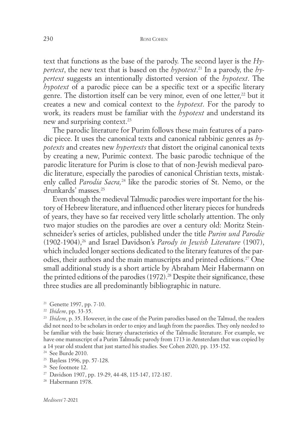text that functions as the base of the parody. The second layer is the *Hypertext*, the new text that is based on the *hypotext*. <sup>21</sup> In a parody, the *hypertext* suggests an intentionally distorted version of the *hypotext*. The *hypotext* of a parodic piece can be a specific text or a specific literary genre. The distortion itself can be very minor, even of one letter, <sup>22</sup> but it creates a new and comical context to the *hypotext*. For the parody to work, its readers must be familiar with the *hypotext* and understand its new and surprising context. 23

The parodic literature for Purim follows these main features of a parodic piece. It uses the canonical texts and canonical rabbinic genres as *hypotexts* and creates new *hypertexts* that distort the original canonical texts by creating a new, Purimic context. The basic parodic technique of the parodic literature for Purim is close to that of non-Jewish medieval parodic literature, especially the parodies of canonical Christian texts, mistakenly called *Parodia Sacra,* <sup>24</sup> like the parodic stories of St. Nemo, or the drunkards' masses. 25

Even though the medieval Talmudic parodies were important for the history of Hebrew literature, and influenced other literary pieces for hundreds of years, they have so far received very little scholarly attention. The only two major studies on the parodies are over a century old: Moritz Steinschneider's series of articles, published under the title *Purim und Parodie* (1902-1904), <sup>26</sup> and Israel Davidson's *Parody in Jewish Literature* (1907), which included longer sections dedicated to the literary features of the parodies, their authors and the main manuscripts and printed editions. <sup>27</sup> One small additional study is a short article by Abraham Meir Habermann on the printed editions of the parodies (1972). <sup>28</sup> Despite their significance, these three studies are all predominantly bibliographic in nature.

<sup>23</sup> *Ibidem*, p. 35. However, in the case of the Purim parodies based on the Talmud, the readers did not need to be scholars in order to enjoy and laugh from the paordies. They only needed to be familiar with the basic literary characteristics of the Talmudic literature. For example, we have one manuscript of a Purim Talmudic parody from 1713 in Amsterdam that was copied by a 14 year old student that just started his studies. See Cohen 2020, pp. 135-152.

<sup>25</sup> Bayless 1996, pp. 57-128.

<sup>27</sup> Davidson 1907, pp. 19-29, 44-48, 115-147, 172-187.

<sup>21</sup> Genette 1997, pp. 7-10.

<sup>22</sup> *Ibidem*, pp. 33-35.

<sup>24</sup> See Burde 2010.

<sup>&</sup>lt;sup>26</sup> See footnote 12.

<sup>28</sup> Habermann 1978.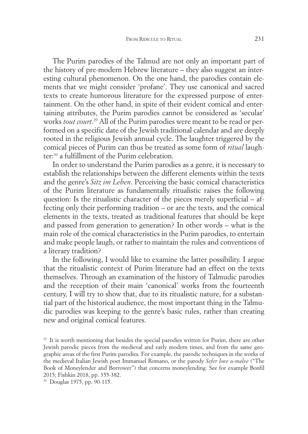The Purim parodies of the Talmud are not only an important part of the history of pre-modern Hebrew literature – they also suggest an interesting cultural phenomenon. On the one hand, the parodies contain elements that we might consider 'profane'. They use canonical and sacred texts to create humorous literature for the expressed purpose of entertainment. On the other hand, in spite of their evident comical and entertaining attributes, the Purim parodies cannot be considered as 'secular' works *tout court*. <sup>29</sup> All of the Purim parodies were meant to be read or performed on a specific date of the Jewish traditional calendar and are deeply rooted in the religious Jewish annual cycle. The laughter triggered by the comical pieces of Purim can thus be treated as some form of *ritual* laughter: <sup>30</sup> a fulfillment of the Purim celebration.

In order to understand the Purim parodies as a genre, it is necessary to establish the relationships between the different elements within the texts and the genre's *Sitz im Leben*. Perceiving the basic comical characteristics of the Purim literature as fundamentally ritualistic raises the following question: Is the ritualistic character of the pieces merely superficial – affecting only their performing tradition – or are the texts, and the comical elements in the texts, treated as traditional features that should be kept and passed from generation to generation? In other words – what is the main role of the comical characteristics in the Purim parodies, to entertain and make people laugh, or rather to maintain the rules and conventions of a literary tradition?

In the following, I would like to examine the latter possibility. I argue that the ritualistic context of Purim literature had an effect on the texts themselves. Through an examination of the history of Talmudic parodies and the reception of their main 'canonical' works from the fourteenth century, I will try to show that, due to its ritualistic nature, for a substantial part of the historical audience, the most important thing in the Talmudic parodies was keeping to the genre's basic rules, rather than creating new and original comical features.

<sup>&</sup>lt;sup>29</sup> It is worth mentioning that besides the special parodies written for Purim, there are other Jewish parodic pieces from the medieval and early modern times, and from the same geographic areas of the first Purim parodies. For example, the parodic techniques in the works of the medieval Italian Jewish poet Immanuel Romano, or the parody *Sefer love u-malve* ("The Book of Moneylender and Borrower") that concerns moneylending. See for example Bonfil 2015; Fishkin 2018, pp. 355-382.

<sup>30</sup> Douglas 1975, pp. 90-115.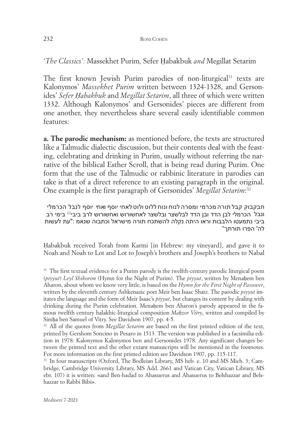#### 232 RONI COHEN

*'The Classics':* Massekhet Purim*,* Sefer Ḥabakbuk *and* Megillat Setarim

The first known Jewish Purim parodies of non-liturgical <sup>31</sup> texts are Kalonymos' *Massekhet Purim* written between 1324-1328, and Gersonides' *Sefer Ḥabakbuk* and *Megillat Setarim*, all three of which were written 1332. Although Kalonymos' and Gersonides' pieces are different from one another, they nevertheless share several easily identifiable common features:

**a. The parodic mechanism:** as mentioned before, the texts are structured like a Talmudic dialectic discussion, but their contents deal with the feasting, celebrating and drinking in Purim, usually without referring the narrative of the biblical Esther Scroll, that is being read during Purim. One form that the use of the Talmudic or rabbinic literature in parodies can take is that of a direct reference to an existing paragraph in the original. One example is the first paragraph of Gersonides' *Megillat Setarim*: 32

חבקבוק קבל תורה מכרמי ומסרה לנוח ונוח ללוט ולוט לאחי יוסף ואחי יוסף לנבל הכרמלי ונבל הכרמלי לבן הדד ובן הדד לבלשצר ובלשצר לאחשורוש ואחשורוש לרב ביבי $^{\text{33}}$  בימי רב ביבי נתמעטו הלבבות וראו היתה נקלה להשתכח תורה מישראל וכתבוה שנאמ :"עת לעשות לה' הפרו תורתך"

Ḥabakbuk received Torah from Karmi [in Hebrew: my vineyard], and gave it to Noah and Noah to Lot and Lot to Joseph's brothers and Joseph's brothers to Nabal

<sup>&</sup>lt;sup>31</sup> The first textual evidence for a Purim parody is the twelfth-century parodic liturgical poem (*piyyut*) *Leyl Shikorim* (Hymn for the Night of Purim). The *piyyut*, written by Menahem ben Aharon, about whom we know very little, is based on the *Hymn for the First Night of Passover*, written by the eleventh century Ashkenazic poet Meir ben Isaac Shatz. The parodic *piyyut* imitates the language and the form of Meir Isaac's *piyyut*, but changes its content by dealing with drinking during the Purim celebration. Menahem ben Aharon's parody appeared in the famous twelfth century halakhic-liturgical composition *Maḥzor Vitry*, written and compiled by Simḥa ben Samuel of Vitry. See Davidson 1907, pp. 4-5.

<sup>32</sup> All of the quotes from *Megillat Setarim* are based on the first printed edition of the text, printed by Gershom Soncino in Pesaro in 1513. The version was published in a facsimilia edition in 1978: Kalonymos Kalonymos ben and Gersonides 1978. Any significant changes between the printed text and the other extant manuscripts will be mentioned in the footnotes. For more information on the first printed edition see Davidson 1907, pp. 115-117.

<sup>&</sup>lt;sup>33</sup> In four manuscripts (Oxford, The Bodleian Library, MS heb. e. 10 and MS Mich. 3; Cambridge, Cambridge University Library, MS Add. 2661 and Vatican City, Vatican Library, MS ebr. 107) it is written: «and Ben-hadad to Ahasuerus and Ahasuerus to Belshazzar and Belshazzar to Rabbi Bibi».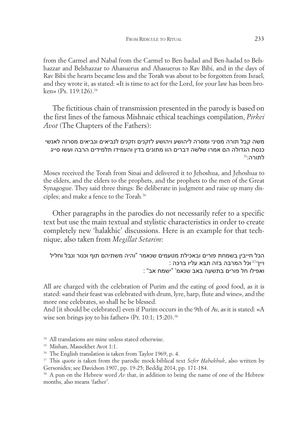from the Carmel and Nabal from the Carmel to Ben-hadad and Ben-hadad to Belshazzar and Belshazzar to Ahasuerus and Ahasuerus to Rav Bibi, and in the days of Rav Bibi the hearts became less and the Torah was about to be forgotten from Israel, and they wrote it, as stated: «It is time to act for the Lord, for your law has been broken» (Ps. 119:126). 34

The fictitious chain of transmission presented in the parody is based on the first lines of the famous Mishnaic ethical teachings compilation, *Pirkei Avot* (The Chapters of the Fathers):

## משה קבל תורה מסיני ומסרה ליהושע ויהושע לזקנים וזקנים לנביאים ונביאים מסרוה לאנשי כנסת הגדולה הם אמרו שלשה דברים הוו מתונים בדין והעמידו תלמידים הרבה ועשו סייג  $\mathrm{^{35}}$ לתורה:

Moses received the Torah from Sinai and delivered it to Jehoshua, and Jehoshua to the elders, and the elders to the prophets, and the prophets to the men of the Great Synagogue. They said three things: Be deliberate in judgment and raise up many disciples; and make a fence to the Torah*.* 36

Other paragraphs in the parodies do not necessarily refer to a specific text but use the main textual and stylistic characteristics in order to create completely new 'halakhic' discussions. Here is an example for that technique, also taken from *Megillat Setarim*:

```
הכל חייבין בשמחת פורים ובאכילת מטעמים שנאמר "והיה משתיהם תוף וכנור ונבל וחליל
                                   : ויין״<sup>37</sup>וכל המרבה בזה תבא עליו ברכה
                        ואפילו חל פורים בתשעה באב שנאמ' "ישמח אב" :
```
All are charged with the celebration of Purim and the eating of good food, as it is stated: «and their feast was celebrated with drum, lyre, harp, flute and wine», and the more one celebrates, so shall he be blessed.

And [it should be celebrated] even if Purim occurs in the 9th of Av, as it is stated: «A wise son brings joy to his father» (Pr. 10:1; 15:20). 38

<sup>34</sup> All translations are mine unless stated otherwise.

<sup>36</sup> The English translation is taken from Taylor 1969, p. 4.

<sup>37</sup> This quote is taken from the parodic mock-biblical text *Sefer Ḥabakbuk*, also written by Gersonides; see Davidson 1907, pp. 19-25; Beddig 2014, pp. 171-184.

<sup>38</sup> A pun on the Hebrew word *Av* that, in addition to being the name of one of the Hebrew months, also means 'father'.

<sup>35</sup> Mishan, Massekhet Avot 1:1.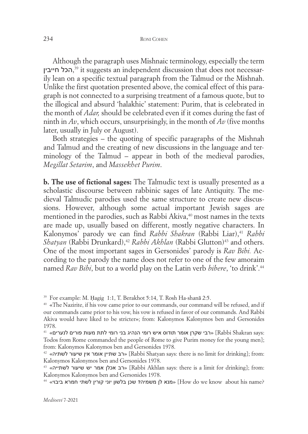Although the paragraph uses Mishnaic terminology, especially the term ,הכל חייבין <sup>39</sup> it suggests an independent discussion that does not necessarily lean on a specific textual paragraph from the Talmud or the Mishnah. Unlike the first quotation presented above, the comical effect of this paragraph is not connected to a surprising treatment of a famous quote, but to the illogical and absurd 'halakhic' statement: Purim, that is celebrated in the month of *Adar,* should be celebrated even if it comes during the fast of ninth in *Av*, which occurs, unsurprisingly, in the month of *Av* (five months later, usually in July or August).

Both strategies – the quoting of specific paragraphs of the Mishnah and Talmud and the creating of new discussions in the language and terminology of the Talmud – appear in both of the medieval parodies, *Megillat Setarim*, and *Massekhet Purim*.

**b. The use of fictional sages:** The Talmudic text is usually presented as a scholastic discourse between rabbinic sages of late Antiquity. The medieval Talmudic parodies used the same structure to create new discussions. However, although some actual important Jewish sages are mentioned in the parodies, such as Rabbi Akiva, <sup>40</sup> most names in the texts are made up, usually based on different, mostly negative characters. In Kalonymos' parody we can find *Rabbi Shakran* (Rabbi Liar), <sup>41</sup> *Rabbi Shatyan* (Rabbi Drunkard), <sup>42</sup> *Rabbi Akhlan* (Rabbi Glutton)<sup>43</sup> and others. One of the most important sages in Gersonides' parody is *Rav Bibi.* According to the parody the name does not refer to one of the few amoraim named *Rav Bibi*, but to a world play on the Latin verb *bibere*, 'to drink'. 44

<sup>39</sup> For example: M. Ḥagig 1:1, T. Berakhot 5:14, T. Rosh Ha-shanā 2:5.

<sup>44</sup> «ביבוי חמרא לשתי קורין יוני בלשון שכן**?** משמיה לן מנא] «How do we know about his name?

<sup>40</sup> «The Nazirite, if his vow came prior to our commands, our command will be refused, and if our commands came prior to his vow, his vow is refused in favor of our commands. And Rabbi Akiva would have liked to be stricter»; from: Kalonymos Kalonymos ben and Gersonides 1978.<br><sup>41</sup> «רבי שקרן אומר תודוס איש רומי הנהיג בני רומי לתת מעות פורים לנערים» [Rabbi Shakran says:

Todos from Rome commanded the people of Rome to give Purim money for the young men]; from: Kalonymos Kalonymos ben and Gersonides 1978.

 $42$  «רב שתיין אומר אין שיעור לשתיה» [Rabbi Shatyan says: there is no limit for drinking]; from: Kalonymos Kalonymos ben and Gersonides 1978.

 $43$  «רב אכלן אמר יש שיעור לשתייה» [Rabbi Akhlan says: there is a limit for drinking]; from: Kalonymos Kalonymos ben and Gersonides 1978.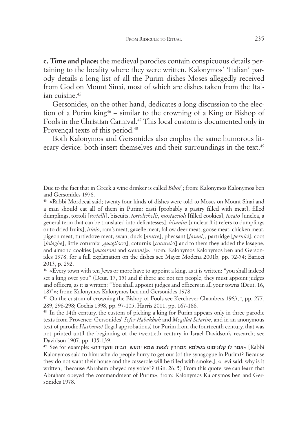**c. Time and place:** the medieval parodies contain conspicuous details pertaining to the locality where they were written. Kalonymos' 'Italian' parody details a long list of all the Purim dishes Moses allegedly received from God on Mount Sinai, most of which are dishes taken from the Italian cuisine. 45

Gersonides, on the other hand, dedicates a long discussion to the election of a Purim king<sup>46</sup> – similar to the crowning of a King or Bishop of Fools in the Christian Carnival. <sup>47</sup> This local custom is documented only in Provençal texts of this period. 48

Both Kalonymos and Gersonides also employ the same humorous literary device: both insert themselves and their surroundings in the text. 49

Due to the fact that in Greek a wine drinker is called *Biboi*]; from: Kalonymos Kalonymos ben and Gersonides 1978.

<sup>45</sup> «Rabbi Mordecai said; twenty four kinds of dishes were told to Moses on Mount Sinai and a man should eat all of them in Purim: casti [probably a pastry filled with meat], filled dumplings, tortoli [*tortelli*], biscuits, *tortolichelli*, *mostaccioli* [filled cookies], *tocato* [unclea, a general term that can be translated into delicatesses], *kisanim* [unclear if it refers to dumplings or to dried fruits], *itinio*, ram's meat, gazelle meat, fallow deer meat, goose meat, chicken meat, pigeon meat, turtledove meat, swan, duck [*anitre*], pheasant [*fasani*], partridge [*pernici*], coot [*folaghe*], little coturnix [*quagliocci*], coturnix [*coturnici*] and to them they added the lasagne, and almond cookies [*macaroni* and *cresoni*]». From: Kalonymos Kalonymos ben and Gersonides 1978; for a full explanation on the dishes see Mayer Modena 2001b, pp. 52-54; Baricci 2013, p. 292.

<sup>46</sup> «Every town with ten Jews or more have to appoint a king, as it is written: "you shall indeed set a king over you" (Deut. 17, 15) and if there are not ten people, they must appoint judges and officers, as it is written: "You shall appoint judges and officers in all your towns (Deut. 16, 18)"»; from: Kalonymos Kalonymos ben and Gersonides 1978.

<sup>47</sup> On the custom of crowning the Bishop of Fools see Kerchever Chambers 1963, I, pp. 277, 289, 296-298; Cochis 1998, pp. 97-105; Harris 2011, pp. 167-186.

<sup>48</sup> In the 14th century, the custom of picking a king for Purim appears only in three parodic texts from Provence: Gersonides' *Sefer Ḥabakbuk* and *Megillat Setarim*, and in an anonymous text of parodic *Haskamot* (legal approbations) for Purim from the fourteenth century, that was not printed until the beginning of the twentieth century in Israel Davidson's research; see  $D$ avidson 1907, pp. 135-139.<br>«אמר לו קלונימוס בשלמא ממהרין לצאת שמא יתעשן הבית והקדירה» :Rabbi [Rabbi

Kalonymos said to him: why do people hurry to get our (of the synagogue in Purim)? Because they do not want their house and the casserole will be filled with smoke.]; «Levi said: why is it written, "because Abraham obeyed my voice"? (Gn. 26, 5) From this quote, we can learn that Abraham obeyed the commandment of Purim»; from: Kalonymos Kalonymos ben and Gersonides 1978.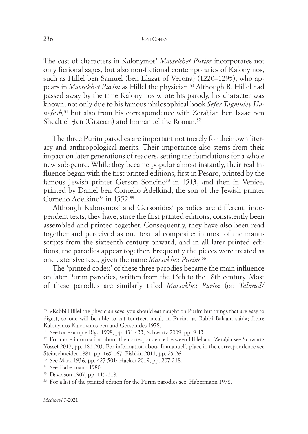The cast of characters in Kalonymos' *Massekhet Purim* incorporates not only fictional sages, but also non-fictional contemporaries of Kalonymos, such as Hillel ben Samuel (ben Elazar of Verona) (1220–1295), who appears in *Massekhet Purim* as Hillel the physician. <sup>50</sup> Although R. Hillel had passed away by the time Kalonymos wrote his parody, his character was known, not only due to his famous philosophical book *Sefer Tagmuley Hanefesh,* <sup>51</sup> but also from his correspondence with Zeraḥiah ben Isaac ben Shealtiel Ḥen (Gracian) and Immanuel the Roman. 52

The three Purim parodies are important not merely for their own literary and anthropological merits. Their importance also stems from their impact on later generations of readers, setting the foundations for a whole new sub-genre. While they became popular almost instantly, their real influence began with the first printed editions, first in Pesaro, printed by the famous Jewish printer Gerson Soncino<sup>53</sup> in 1513, and then in Venice, printed by Daniel ben Cornelio Adelkind, the son of the Jewish printer Cornelio Adelkind<sup>54</sup> in 1552.<sup>55</sup>

Although Kalonymos' and Gersonides' parodies are different, independent texts, they have, since the first printed editions, consistently been assembled and printed together. Consequently, they have also been read together and perceived as one textual composite: in most of the manuscripts from the sixteenth century onward, and in all later printed editions, the parodies appear together. Frequently the pieces were treated as one extensive text, given the name *Massekhet Purim*. 56

The 'printed codex' of these three parodies became the main influence on later Purim parodies, written from the 16th to the 18th century. Most of these parodies are similarly titled *Massekhet Purim* (or, *Talmud/*

<sup>50</sup> «Rabbi Hillel the physician says: you should eat naught on Purim but things that are easy to digest, so one will be able to eat fourteen meals in Purim, as Rabbi Balaam said»; from: Kalonymos Kalonymos ben and Gersonides 1978.

<sup>51</sup> See for example Rigo 1998, pp. 431-433; Schwartz 2009, pp. 9-13.

<sup>&</sup>lt;sup>52</sup> For more information about the correspondence between Hillel and Zerahia see Schwartz Yossef 2017, pp. 181-203. For information about Immanuel's place in the correspondence see Steinschneider 1881, pp. 165-167; Fishkin 2011, pp. 25-26.

<sup>53</sup> See Marx 1936, pp. 427-501; Hacker 2019, pp. 207-218.

<sup>54</sup> See Habermann 1980.

<sup>55</sup> Davidson 1907, pp. 115-118.

<sup>&</sup>lt;sup>56</sup> For a list of the printed edition for the Purim parodies see: Habermann 1978.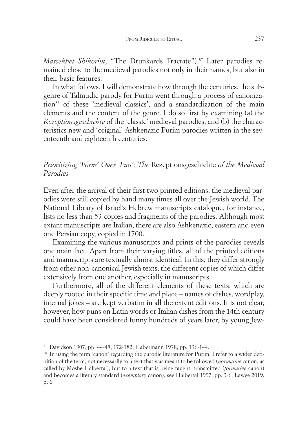*Massekhet Shikorim*, "The Drunkards Tractate"). <sup>57</sup> Later parodies remained close to the medieval parodies not only in their names, but also in their basic features.

In what follows, I will demonstrate how through the centuries, the subgenre of Talmudic parody for Purim went through a process of canonization<sup>58</sup> of these 'medieval classics', and a standardization of the main elements and the content of the genre. I do so first by examining (a) the *Rezeptionsgeschichte* of the 'classic' medieval parodies, and (b) the characteristics new and 'original' Ashkenazic Purim parodies written in the seventeenth and eighteenth centuries.

# *Prioritizing 'Form' Over 'Fun': The* Rezeptionsgeschichte *of the Medieval Parodies*

Even after the arrival of their first two printed editions, the medieval parodies were still copied by hand many times all over the Jewish world. The National Library of Israel's Hebrew manuscripts catalogue, for instance, lists no less than 53 copies and fragments of the parodies. Although most extant manuscripts are Italian, there are also Ashkenazic, eastern and even one Persian copy, copied in 1700.

Examining the various manuscripts and prints of the parodies reveals one main fact. Apart from their varying titles, all of the printed editions and manuscripts are textually almost identical. In this, they differ strongly from other non-canonical Jewish texts, the different copies of which differ extensively from one another, especially in manuscripts.

Furthermore, all of the different elements of these texts, which are deeply rooted in their specific time and place – names of dishes, wordplay, internal jokes – are kept verbatim in all the extent editions. It is not clear, however, how puns on Latin words or Italian dishes from the 14th century could have been considered funny hundreds of years later, by young Jew-

<sup>57</sup> Davidson 1907, pp. 44-45, 172-182; Habermann 1978, pp. 136-144.

<sup>&</sup>lt;sup>58</sup> In using the term 'canon' regarding the parodic literature for Purim, I refer to a wider definition of the term, not necessarily to a text that was meant to be followed (*normative* canon, as called by Moshe Halbertal), but to a text that is being taught, transmitted (*formative* canon) and becomes a literary standard (*exemplary* canon); see Halbertal 1997, pp. 3-6; Lawee 2019, p. 6.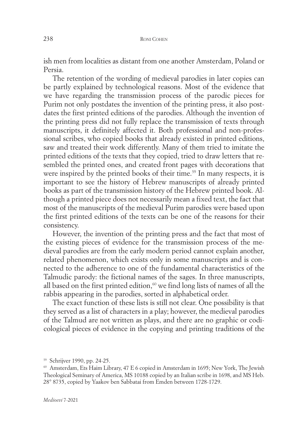ish men from localities as distant from one another Amsterdam, Poland or Persia.

The retention of the wording of medieval parodies in later copies can be partly explained by technological reasons. Most of the evidence that we have regarding the transmission process of the parodic pieces for Purim not only postdates the invention of the printing press, it also postdates the first printed editions of the parodies. Although the invention of the printing press did not fully replace the transmission of texts through manuscripts, it definitely affected it. Both professional and non-professional scribes, who copied books that already existed in printed editions, saw and treated their work differently. Many of them tried to imitate the printed editions of the texts that they copied, tried to draw letters that resembled the printed ones, and created front pages with decorations that were inspired by the printed books of their time. <sup>59</sup> In many respects, it is important to see the history of Hebrew manuscripts of already printed books as part of the transmission history of the Hebrew printed book. Although a printed piece does not necessarily mean a fixed text, the fact that most of the manuscripts of the medieval Purim parodies were based upon the first printed editions of the texts can be one of the reasons for their consistency.

However, the invention of the printing press and the fact that most of the existing pieces of evidence for the transmission process of the medieval parodies are from the early modern period cannot explain another, related phenomenon, which exists only in some manuscripts and is connected to the adherence to one of the fundamental characteristics of the Talmudic parody: the fictional names of the sages. In three manuscripts, all based on the first printed edition, <sup>60</sup> we find long lists of names of all the rabbis appearing in the parodies, sorted in alphabetical order.

The exact function of these lists is still not clear. One possibility is that they served as a list of characters in a play; however, the medieval parodies of the Talmud are not written as plays, and there are no graphic or codicological pieces of evidence in the copying and printing traditions of the

<sup>59</sup> Schrijver 1990, pp. 24-25.

<sup>60</sup> Amsterdam, Ets Haim Library, 47 E 6 copied in Amsterdam in 1695; New York, The Jewish Theological Seminary of America, MS 10188 copied by an Italian scribe in 1698, and MS Heb. 28° 8735, copied by Yaakov ben Sabbatai from Emden between 1728-1729.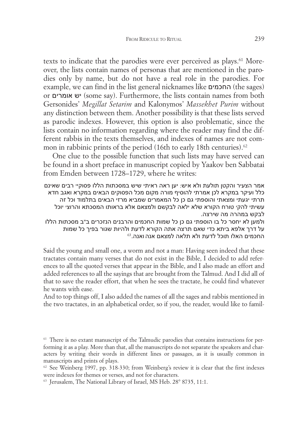texts to indicate that the parodies were ever perceived as plays. <sup>61</sup> Moreover, the lists contain names of personas that are mentioned in the parodies only by name, but do not have a real role in the parodies. For example, we can find in the list general nicknames like החכמים) the sages) or אומרים יש) some say). Furthermore, the lists contain names from both Gersonides' *Megillat Setarim* and Kalonymos' *Massekhet Purim* without any distinction between them. Another possibility is that these lists served as parodic indexes. However, this option is also problematic, since the lists contain no information regarding where the reader may find the different rabbis in the texts themselves, and indexes of names are not common in rabbinic prints of the period (16th to early 18th centuries). 62

One clue to the possible function that such lists may have served can be found in a short preface in manuscript copied by Yaakov ben Sabbatai from Emden between 1728–1729, where he writes:

אמר הצעיר והקטן תולעת ולא איש: יען ראה ראיתי שיש במסכתות הללו פסוקי**'** רבים שאינם כלל ועיקר במקרא לכן אמרתי להוסיף מורה מקום מכל הפסוקים הבאים במקרא ואגב חדא תרתי יגעתי ומצאתי והוספתי גם כן כל המאמרים שמביא מרזי הבאים בתלמוד וכל זה עשיתי להק**'** טורח הקורא שלא ילאה לבקשם ולמצאם אלא בראותו המסכתא והרוצ**'** יוכל לבקש במהרה מה שירצה.

ולמען לא יחסר כל בו הוספתי גם כן כל שמות החכמים והרבנים הנזכרים ב"ב מסכתות הללו 63 על דרך אלפא ביתא כדי שאם תרצה אתה הקורא לדעת ולהיות שגור בפיך כל שמות  $^{63}$ החכמים האלו תוכל לדעת ולא תלאה למצאם אנה ואנה.

Said the young and small one, a worm and not a man: Having seen indeed that these tractates contain many verses that do not exist in the Bible, I decided to add references to all the quoted verses that appear in the Bible, and I also made an effort and added references to all the sayings that are brought from the Talmud. And I did all of that to save the reader effort, that when he sees the tractate, he could find whatever he wants with ease.

And to top things off, I also added the names of all the sages and rabbis mentioned in the two tractates, in an alphabetical order, so if you, the reader, would like to famil-

<sup>61</sup> There is no extant manuscript of the Talmudic parodies that contains instructions for performing it as a play. More than that, all the manuscripts do not separate the speakers and characters by writing their words in different lines or passages, as it is usually common in manuscripts and prints of plays.

<sup>63</sup> Jerusalem, The National Library of Israel, MS Heb. 28° 8735, 11:1.

 $62$  See Weinberg 1997, pp. 318-330; from Weinberg's review it is clear that the first indexes were indexes for themes or verses, and not for characters.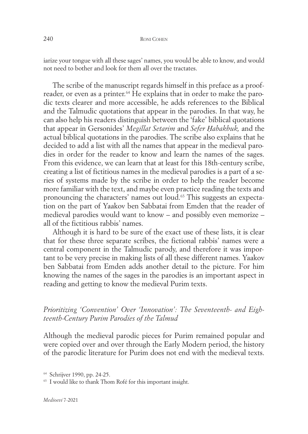iarize your tongue with all these sages' names, you would be able to know, and would not need to bother and look for them all over the tractates.

The scribe of the manuscript regards himself in this preface as a proofreader, or even as a printer. <sup>64</sup> He explains that in order to make the parodic texts clearer and more accessible, he adds references to the Biblical and the Talmudic quotations that appear in the parodies. In that way, he can also help his readers distinguish between the 'fake' biblical quotations that appear in Gersonides' *Megillat Setarim* and *Sefer Ḥabakbuk,* and the actual biblical quotations in the parodies. The scribe also explains that he decided to add a list with all the names that appear in the medieval parodies in order for the reader to know and learn the names of the sages. From this evidence, we can learn that at least for this 18th-century scribe, creating a list of fictitious names in the medieval parodies is a part of a series of systems made by the scribe in order to help the reader become more familiar with the text, and maybe even practice reading the texts and pronouncing the characters' names out loud. <sup>65</sup> This suggests an expectation on the part of Yaakov ben Sabbatai from Emden that the reader of medieval parodies would want to know – and possibly even memorize – all of the fictitious rabbis' names.

Although it is hard to be sure of the exact use of these lists, it is clear that for these three separate scribes, the fictional rabbis' names were a central component in the Talmudic parody, and therefore it was important to be very precise in making lists of all these different names. Yaakov ben Sabbatai from Emden adds another detail to the picture. For him knowing the names of the sages in the parodies is an important aspect in reading and getting to know the medieval Purim texts.

# *Prioritizing 'Convention' Over 'Innovation': The Seventeenth- and Eighteenth-Century Purim Parodies of the Talmud*

Although the medieval parodic pieces for Purim remained popular and were copied over and over through the Early Modern period, the history of the parodic literature for Purim does not end with the medieval texts.

<sup>64</sup> Schrijver 1990, pp. 24-25.

<sup>&</sup>lt;sup>65</sup> I would like to thank Thom Rofé for this important insight.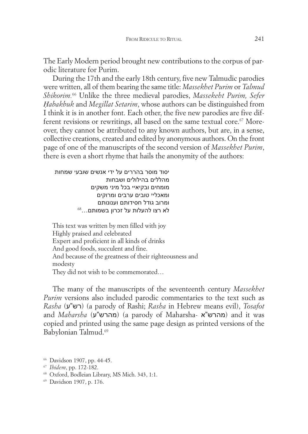The Early Modern period brought new contributions to the corpus of parodic literature for Purim.

During the 17th and the early 18th century, five new Talmudic parodies were written, all of them bearing the same title: *Massekhet Purim* or *Talmud Shikorim.* <sup>66</sup> Unlike the three medieval parodies, *Massekeht Purim, Sefer Ḥabakbuk* and *Megillat Setarim*, whose authors can be distinguished from I think it is in another font. Each other, the five new parodies are five different revisions or rewritings, all based on the same textual core. <sup>67</sup> Moreover, they cannot be attributed to any known authors, but are, in a sense, collective creations, created and edited by anonymous authors. On the front page of one of the manuscripts of the second version of *Massekhet Purim*, there is even a short rhyme that hails the anonymity of the authors:

יסוד מוסר בהררים על ידי אנשים שובעי שמחות מהללים בהילולים ושבחות מומחים ובקיאי**'** בכל מיני משקים ומאכלי**'** טובים ערבים ומרוקים ומרוב גודל חסידותם וענונותם<br>לא רצו להעלות על זכרון בשמותם…<sup>68</sup>

This text was written by men filled with joy Highly praised and celebrated Expert and proficient in all kinds of drinks And good foods, succulent and fine. And because of the greatness of their righteousness and modesty They did not wish to be commemorated…

The many of the manuscripts of the seventeenth century *Massekhet Purim* versions also included parodic commentaries to the text such as *Rasha* (ע"רש) (a parody of Rashi; *Rasha* in Hebrew means evil), *Tosafot* and *Maharsha* (ע"מהרש) (a parody of Maharsha- א"מהרש (and it was copied and printed using the same page design as printed versions of the Babylonian Talmud. 69

<sup>66</sup> Davidson 1907, pp. 44-45.

<sup>67</sup> *Ibidem*, pp. 172-182.

<sup>68</sup> Oxford, Bodleian Library, MS Mich. 343, 1:1.

<sup>69</sup> Davidson 1907, p. 176.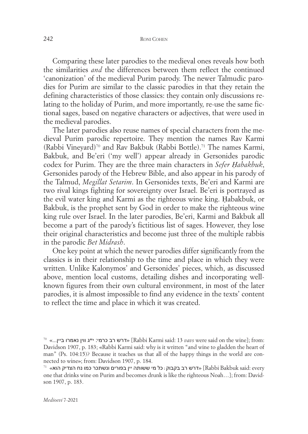#### 242 RONI COHEN

Comparing these later parodies to the medieval ones reveals how both the similarities *and* the differences between them reflect the continued 'canonization' of the medieval Purim parody. The newer Talmudic parodies for Purim are similar to the classic parodies in that they retain the defining characteristics of those classics: they contain only discussions relating to the holiday of Purim, and more importantly, re-use the same fictional sages, based on negative characters or adjectives, that were used in the medieval parodies.

The later parodies also reuse names of special characters from the medieval Purim parodic repertoire. They mention the names Rav Karmi (Rabbi Vineyard)<sup>70</sup> and Rav Bakbuk (Rabbi Bottle). <sup>71</sup> The names Karmi, Bakbuk, and Be'eri ('my well') appear already in Gersonides parodic codex for Purim. They are the three main characters in *Sefer Ḥabakbuk*, Gersonides parody of the Hebrew Bible, and also appear in his parody of the Talmud, *Megillat Setarim*. In Gersonides texts, Be'eri and Karmi are two rival kings fighting for sovereignty over Israel. Be'eri is portrayed as the evil water king and Karmi as the righteous wine king. Ḥabakbuk, or Bakbuk, is the prophet sent by God in order to make the righteous wine king rule over Israel. In the later parodies, Be'eri, Karmi and Bakbuk all become a part of the parody's fictitious list of sages. However, they lose their original characteristics and become just three of the multiple rabbis in the parodic *Bet Midrash*.

One key point at which the newer parodies differ significantly from the classics is in their relationship to the time and place in which they were written. Unlike Kalonymos' and Gersonides' pieces, which, as discussed above, mention local customs, detailing dishes and incorporating wellknown figures from their own cultural environment, in most of the later parodies, it is almost impossible to find any evidence in the texts' content to reflect the time and place in which it was created.

<sup>&</sup>lt;sup>70</sup> «רא רב כרמי: ייג ווין נאמרו ביין...» (Rabbi Karmi said: 13 *vavs* were said on the wine]; from: Davidson 1907, p. 183; «Rabbi Karmi said: why is it written "and wine to gladden the heart of man" (Ps. 104:15)? Because it teaches us that all of the happy things in the world are connected to wine»; from: Davidson 1907, p. 184.

 $^{71}$  «דרש רב בקבוק : כל מי ששותה יין בפורים ונשתכר כמו נח הצדיק הוא»  $\,$  [Rabbi Bakbuk said: every one that drinks wine on Purim and becomes drunk is like the righteous Noah…]; from: Davidson 1907, p. 183.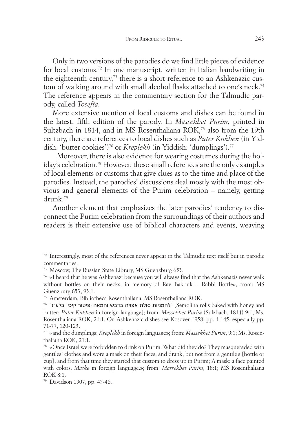Only in two versions of the parodies do we find little pieces of evidence for local customs. <sup>72</sup> In one manuscript, written in Italian handwriting in the eighteenth century, <sup>73</sup> there is a short reference to an Ashkenazic custom of walking around with small alcohol flasks attached to one's neck. 74 The reference appears in the commentary section for the Talmudic parody, called *Tosefta*.

More extensive mention of local customs and dishes can be found in the latest, fifth edition of the parody. In *Massekhet Purim,* printed in Sultzbach in 1814, and in MS Rosenthaliana ROK, <sup>75</sup> also from the 19th century, there are references to local dishes such as *Puter Kukhen* (in Yiddish: 'butter cookies')<sup>76</sup> or *Kreplekh* (in Yiddish: 'dumplings'). 77

Moreover, there is also evidence for wearing costumes during the holiday's celebration. <sup>78</sup> However, these small references are the only examples of local elements or customs that give clues as to the time and place of the parodies. Instead, the parodies' discussions deal mostly with the most obvious and general elements of the Purim celebration – namely, getting drunk. 79

Another element that emphasizes the later parodies' tendency to disconnect the Purim celebration from the surroundings of their authors and readers is their extensive use of biblical characters and events, weaving

<sup>72</sup> Interestingly, most of the references never appear in the Talmudic text itself but in parodic commentaries.

<sup>73</sup> Moscow, The Russian State Library, MS Guenzburg 653.

<sup>74</sup> «I heard that he was Ashkenazi because you will always find that the Ashkenazis never walk without bottles on their necks, in memory of Rav Bakbuk – Rabbi Bottle», from: MS Guenzburg 653, 93:1.

<sup>75</sup> Amsterdam, Bibliotheca Rosenthaliana, MS Rosenthaliana ROK.

 $^{76}$  לחמניות סולת אפויה בדבש וחמאה פיטור קיכין בלעייז" $\,$  [Semolina rolls baked with honey and butter: *Puter Kukhen* in foreign language]; from: *Massekhet Purim* (Sulzbach, 1814) 9:1; Ms. Rosenthaliana ROK, 21:1. On Ashkenazic dishes see Kosover 1958, pp. 1-145, especially pp. 71-77, 120-123.

<sup>77</sup> «and the dumplings: *Kreplekh* in foreign language»; from: *Massekhet Purim*, 9:1; Ms. Rosenthaliana ROK, 21:1.

<sup>78</sup> «Once Israel were forbidden to drink on Purim. What did they do? They masqueraded with gentiles' clothes and wore a mask on their faces, and drank, but not from a gentile's [bottle or cup], and from that time they started that custom to dress up in Purim; A mask: a face painted with colors, *Maske* in foreign language.»; from: *Massekhet Purim*, 18:1; MS Rosenthaliana ROK 8:1.

<sup>79</sup> Davidson 1907, pp. 45-46.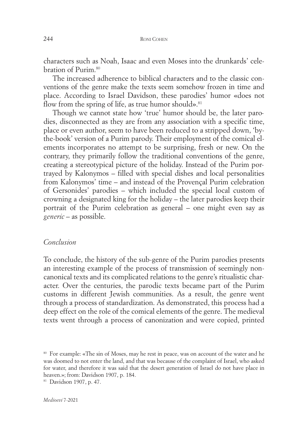characters such as Noah, Isaac and even Moses into the drunkards' celebration of Purim. 80

The increased adherence to biblical characters and to the classic conventions of the genre make the texts seem somehow frozen in time and place. According to Israel Davidson, these parodies' humor «does not flow from the spring of life, as true humor should».<sup>81</sup>

Though we cannot state how 'true' humor should be, the later parodies, disconnected as they are from any association with a specific time, place or even author, seem to have been reduced to a stripped down, 'bythe-book' version of a Purim parody. Their employment of the comical elements incorporates no attempt to be surprising, fresh or new. On the contrary, they primarily follow the traditional conventions of the genre, creating a stereotypical picture of the holiday. Instead of the Purim portrayed by Kalonymos – filled with special dishes and local personalities from Kalonymos' time – and instead of the Provençal Purim celebration of Gersonides' parodies – which included the special local custom of crowning a designated king for the holiday – the later parodies keep their portrait of the Purim celebration as general – one might even say as *generic* – as possible.

## *Conclusion*

To conclude, the history of the sub-genre of the Purim parodies presents an interesting example of the process of transmission of seemingly noncanonical texts and its complicated relations to the genre's ritualistic character. Over the centuries, the parodic texts became part of the Purim customs in different Jewish communities. As a result, the genre went through a process of standardization. As demonstrated, this process had a deep effect on the role of the comical elements of the genre. The medieval texts went through a process of canonization and were copied, printed

<sup>80</sup> For example: «The sin of Moses, may he rest in peace, was on account of the water and he was doomed to not enter the land, and that was because of the complaint of Israel, who asked for water, and therefore it was said that the desert generation of Israel do not have place in heaven.»; from: Davidson 1907, p. 184.

<sup>81</sup> Davidson 1907, p. 47.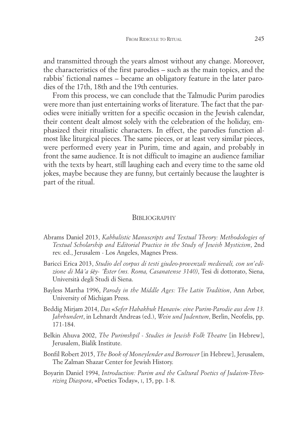and transmitted through the years almost without any change. Moreover, the characteristics of the first parodies – such as the main topics, and the rabbis' fictional names – became an obligatory feature in the later parodies of the 17th, 18th and the 19th centuries.

From this process, we can conclude that the Talmudic Purim parodies were more than just entertaining works of literature. The fact that the parodies were initially written for a specific occasion in the Jewish calendar, their content dealt almost solely with the celebration of the holiday, emphasized their ritualistic characters. In effect, the parodies function almost like liturgical pieces. The same pieces, or at least very similar pieces, were performed every year in Purim, time and again, and probably in front the same audience. It is not difficult to imagine an audience familiar with the texts by heart, still laughing each and every time to the same old jokes, maybe because they are funny, but certainly because the laughter is part of the ritual.

### **BIBLIOGRAPHY**

- Abrams Daniel 2013, *Kabbalistic Manuscripts and Textual Theory: Methodologies of Textual Scholarship and Editorial Practice in the Study of Jewish Mysticism*, 2nd rev. ed., Jerusalem - Los Angeles, Magnes Press.
- Baricci Erica 2013, *Studio del corpus di testi giudeo-provenzali medievali, con un'edizione di M*ā*'a* śē*y- '*Ē*ster (ms. Roma, Casanatense 3140)*, Tesi di dottorato, Siena, Università degli Studi di Siena.
- Bayless Martha 1996, *Parody in the Middle Ages: The Latin Tradition*, Ann Arbor, University of Michigan Press.
- Beddig Mirjam 2014, *Das* «*Sefer Habakbuk Hanavi*»*: eine Purim-Parodie aus dem 13. Jahrhundert*, in Lehnardt Andreas (ed.), *Wein und Judentum*, Berlin, Neofelis, pp. 171-184.
- Belkin Ahuva 2002, *The Purimshpil - Studies in Jewish Folk Theatre* [in Hebrew], Jerusalem, Bialik Institute.
- Bonfil Robert 2015, *The Book of Moneylender and Borrower* [in Hebrew], Jerusalem, The Zalman Shazar Center for Jewish History.
- Boyarin Daniel 1994, *Introduction: Purim and the Cultural Poetics of Judaism-Theorizing Diaspora*, «Poetics Today», I, 15, pp. 1-8.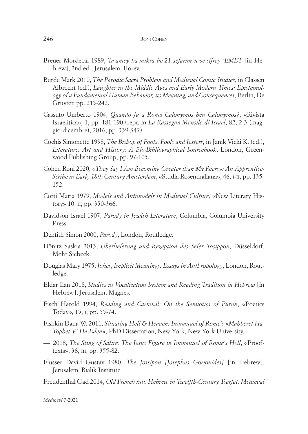- Breuer Mordecai 1989, *Ta'amey ha-mikra be-21 sefarim u-ve-sifrey 'EMET* [in Hebrew], 2nd ed., Jerusalem, Ḥorev.
- Burde Mark 2010, *The Parodia Sacra Problem and Medieval Comic Studies*, in Classen Albrecht (ed.), *Laughter in the Middle Ages and Early Modern Times: Epistemology of a Fundamental Human Behavior, its Meaning, and Consequences*, Berlin, De Gruyter, pp. 215-242.
- Cassuto Umberto 1904, *Quando fu a Roma Calonymos ben Calonymos?*, «Rivista Israelitica», 1, pp. 181-190 (repr. in *La Rassegna Mensile di Israel*, 82, 2-3 (maggio-dicembre), 2016, pp. 339-347).
- Cochis Simonette 1998, *The Bishop of Fools*, *Fools and Jesters*, in Janik Vicki K. (ed.), *Literature, Art and History: A Bio-Bibliographical Sourcebook*, London, Greenwood Publishing Group, pp. 97-105.
- Cohen Roni 2020, *«They Say I Am Becoming Greater than My Peers»: An Apprentice-Scribe in Early 18th Century Amsterdam*, «Studia Rosenthaliana», 46, I-II, pp. 135- 152.
- Corti Maria 1979, *Models and Antimodels in Medieval Culture*, «New Literary History» 10, II, pp. 350-366.
- Davidson Israel 1907, *Parody in Jewish Literature*, Columbia, Columbia University Press.
- Dentith Simon 2000, *Parody*, London, Routledge.
- Dönitz Saskia 2013, *Überlieferung und Rezeption des Sefer Yosippon*, Düsseldorf, Mohr Siebeck.
- Douglas Mary 1975, *Jokes*, *Implicit Meanings: Essays in Anthropology*, London, Routledge.
- Eldar Ilan 2018, *Studies in Vocalization System and Reading Tradition in Hebrew* [in Hebrew], Jerusalem, Magnes.
- Fisch Harold 1994, *Reading and Carnival: On the Semiotics of Purim*, «Poetics Today», 15, I, pp. 55-74.
- Fishkin Dana W. 2011, *Situating Hell & Heaven: Immanuel of Rome's* «*Mahberet Ha-Tophet V' Ha-Eden*», PhD Dissertation, New York, New York University.
- 2018, *The Sting of Satire: The Jesus Figure in Immanuel of Rome's Hell*, «Prooftexts», 36, III, pp. 355-82.
- Flusser David Gustav 1980, *The Jossipon [Josephus Gorionides]* [in Hebrew], Jerusalem, Bialik Institute.
- Freudenthal Gad 2014, *Old French into Hebrew in Twelfth-Century Tsarfat: Medieval*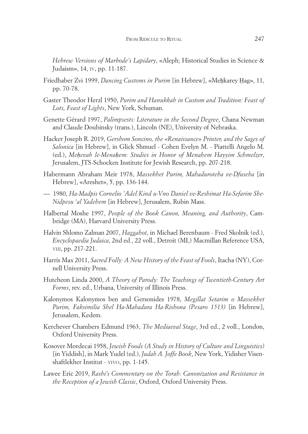*Hebrew Versions of Marbode's Lapidary*, «Aleph; Historical Studies in Science & Judaism», 14, IV, pp. 11-187.

- Friedhaber Zvi 1999, *Dancing Customs in Purim* [in Hebrew], «Meḥkarey Ḥag», 11, pp. 70-78.
- Gaster Theodor Herzl 1950, *Purim and Hanukkah in Custom and Tradition: Feast of Lots, Feast of Lights*, New York, Schuman.
- Genette Gérard 1997, *Palimpsests: Literature in the Second Degree*, Chana Newman and Claude Doubinsky (trans.), Lincoln (NE), University of Nebraska.
- Hacker Joseph R. 2019, *Gershom Soncino, the «Renaissance» Printer, and the Sages of Salonica* [in Hebrew], in Glick Shmuel - Cohen Evelyn M. - Piattelli Angelo M. (ed.), *Meḥevah le-Menaḥem: Studies in Honor of Menahem Hayyim Schmelzer*, Jerusalem, JTS-Schocken Institute for Jewish Research, pp. 207-218.
- Habermann Abraham Meir 1978, *Massekhet Purim, Mahaduroteha ve-Dfuseha* [in Hebrew], «Areshet», 5, pp. 136-144.
- 1980, *Ha-Madpis Cornelio 'Adel Kind u-Vno Daniel ve-Reshimat Ha-Sefarim She-Nidpesu 'al Yadehem* [in Hebrew], Jerusalem, Rubin Mass.
- Halbertal Moshe 1997, *People of the Book Canon, Meaning, and Authority*, Cambridge (MA), Harvard University Press.
- Halvin Shlomo Zalman 2007, *Haggahot*, in Michael Berenbaum Fred Skolnik (ed.), *Encyclopaedia Judaica*, 2nd ed*.*, 22 voll., Detroit (MI,) Macmillan Reference USA, VIII, pp. 217-221.
- Harris Max 2011, *Sacred Folly: A New History of the Feast of Fools*, Itacha (NY), Cornell University Press.
- Hutcheon Linda 2000, *A Theory of Parody: The Teachings of Twentieth-Century Art Forms*, rev. ed., Urbana, University of Illinois Press.
- Kalonymos Kalonymos ben and Gersonides 1978, *Megillat Setarim o Massekhet Purim, Faksimilia Shel Ha-Mahadura Ha-Rishona (Pesaro 1513)* [in Hebrew], Jerusalem, Kedem.
- Kerchever Chambers Edmund 1963, *The Mediaeval Stage*, 3rd ed., 2 voll., London, Oxford University Press.
- Kosover Mordecai 1958, *Jewish Foods (A Study in History of Culture and Linguistics)* [in Yiddish], in Mark Yudel (ed.), *Judah A. Joffe Book*, New York, Yidisher Visenshaftlekher Institut - YIVO, pp. 1-145.
- Lawee Eric 2019, *Rashi's Commentary on the Torah: Canonization and Resistance in the Reception of a Jewish Classic*, Oxford, Oxford University Press.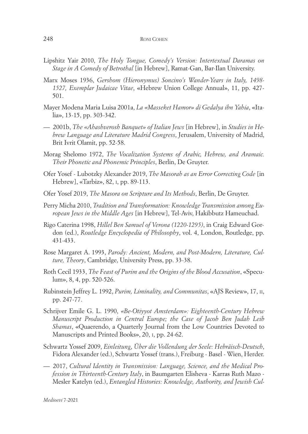- Lipshitz Yair 2010, *The Holy Tongue, Comedy's Version: Intertextual Daramas on Stage in A Comedy of Betrothal* [in Hebrew], Ramat-Gan, Bar-Ilan University.
- Marx Moses 1936, *Gershom (Hieronymus) Soncino's Wander-Years in Italy, 1498- 1527, Exemplar Judaicae Vitae*, «Hebrew Union College Annual», 11, pp. 427- 501.
- Mayer Modena Maria Luisa 2001a, *La «Masseket Hamor» di Gedalya ibn Yahia*, «Italia», 13-15, pp. 303-342.
- $-$  2001b, *The «Ahashverosh Banquet»* of Italian Jews [in Hebrew], in *Studies in Hebrew Language and Literature Madrid Congress*, Jerusalem, University of Madrid, Brit Ivrit Olamit, pp. 52-58.
- Morag Shelomo 1972, *The Vocalization Systems of Arabic, Hebrew, and Aramaic. Their Phonetic and Phonemic Principles*, Berlin, De Gruyter.
- Ofer Yosef Lubotzky Alexander 2019, *The Masorah as an Error Correcting Code* [in Hebrew], «Tarbiz», 82, I, pp. 89-113.
- Ofer Yosef 2019, *The Masora on Scripture and Its Methods*, Berlin, De Gruyter.
- Perry Micha 2010, *Tradition and Transformation: Knowledge Transmission among European Jews in the Middle Ages* [in Hebrew], Tel-Aviv, Hakibbutz Hameuchad.
- Rigo Caterina 1998, *Hillel Ben Samuel of Verona (1220-1295)*, in Craig Edward Gordon (ed.), *Routledge Encyclopedia of Philosophy*, vol. 4, London, Routledge, pp. 431-433.
- Rose Margaret A. 1993, *Parody: Ancient, Modern, and Post-Modern, Literature, Culture, Theory*, Cambridge, University Press, pp. 33-38.
- Roth Cecil 1933, *The Feast of Purim and the Origins of the Blood Accusation*, «Speculum», 8, 4, pp. 520-526.
- Rubinstein Jeffrey L. 1992, *Purim, Liminality, and Communitas*, «AJS Review», 17, II, pp. 247-77.
- Schrijver Emile G. L. 1990, *«Be-Otiyyot Amsterdam»: Eighteenth-Century Hebrew Manuscript Production in Central Europe; the Case of Jacob Ben Judah Leib Shamas*, «Quaerendo, a Quarterly Journal from the Low Countries Devoted to Manuscripts and Printed Books», 20, I, pp. 24-62.
- Schwartz Yossef 2009, *Einleitung*, *Über die Vollendung der Seele: Hebräisch-Deutsch*, Fidora Alexander (ed.), Schwartz Yossef (trans.), Freiburg - Basel - Wien, Herder.
- 2017, *Cultural Identity in Transmission: Language, Science, and the Medical Profession in Thirteenth-Century Italy*, in Baumgarten Elisheva - Karras Ruth Mazo - Mesler Katelyn (ed.), *Entangled Histories: Knowledge, Authority, and Jewish Cul-*